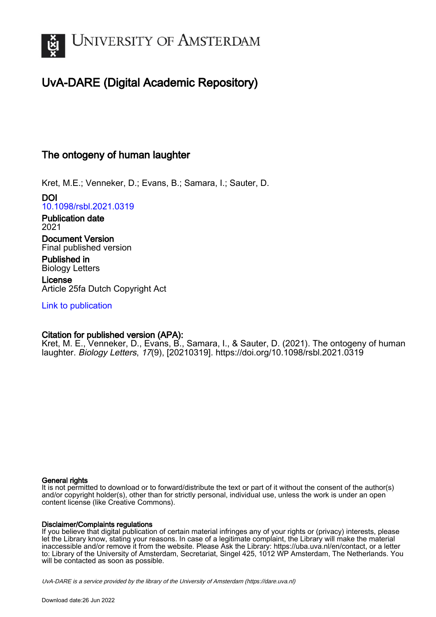

## UvA-DARE (Digital Academic Repository)

## The ontogeny of human laughter

Kret, M.E.; Venneker, D.; Evans, B.; Samara, I.; Sauter, D.

DOI [10.1098/rsbl.2021.0319](https://doi.org/10.1098/rsbl.2021.0319)

Publication date 2021

Document Version Final published version

Published in Biology Letters

License Article 25fa Dutch Copyright Act

[Link to publication](https://dare.uva.nl/personal/pure/en/publications/the-ontogeny-of-human-laughter(b646cf70-3671-459b-8623-85757cacca72).html)

## Citation for published version (APA):

Kret, M. E., Venneker, D., Evans, B., Samara, I., & Sauter, D. (2021). The ontogeny of human laughter. Biology Letters, 17(9), [20210319].<https://doi.org/10.1098/rsbl.2021.0319>

#### General rights

It is not permitted to download or to forward/distribute the text or part of it without the consent of the author(s) and/or copyright holder(s), other than for strictly personal, individual use, unless the work is under an open content license (like Creative Commons).

#### Disclaimer/Complaints regulations

If you believe that digital publication of certain material infringes any of your rights or (privacy) interests, please let the Library know, stating your reasons. In case of a legitimate complaint, the Library will make the material inaccessible and/or remove it from the website. Please Ask the Library: https://uba.uva.nl/en/contact, or a letter to: Library of the University of Amsterdam, Secretariat, Singel 425, 1012 WP Amsterdam, The Netherlands. You will be contacted as soon as possible.

UvA-DARE is a service provided by the library of the University of Amsterdam (http*s*://dare.uva.nl)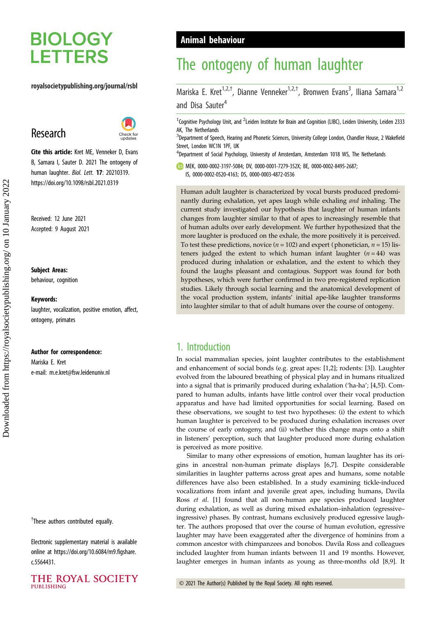# **BIOLOGY LETTERS**

#### royalsocietypublishing.org/journal/rsbl

## Research



Cite this article: Kret ME, Venneker D, Evans B, Samara I, Sauter D. 2021 The ontogeny of human laughter. Biol. Lett. 17: 20210319. https://doi.org/10.1098/rsbl.2021.0319

Received: 12 June 2021 Accepted: 9 August 2021

#### Subject Areas:

behaviour, cognition

#### Keywords:

laughter, vocalization, positive emotion, affect, ontogeny, primates

#### Author for correspondence:

Mariska E. Kret e-mail: [m.e.kret@fsw.leidenuniv.nl](mailto:m.e.kret@fsw.leidenuniv.nl)

<sup>†</sup>These authors contributed equally.

Electronic supplementary material is available online at [https://doi.org/10.6084/m9.figshare.](https://doi.org/10.6084/m9.figshare.c.5564431) [c.5564431.](https://doi.org/10.6084/m9.figshare.c.5564431)



## Animal behaviour

# The ontogeny of human laughter

Mariska E. Kret<sup>1,2,†</sup>, Dianne Venneker<sup>1,2,†</sup>, Bronwen Evans<sup>3</sup>, Iliana Samara<sup>1,2</sup> and Disa Sauter<sup>4</sup>

<sup>1</sup>Cognitive Psychology Unit, and <sup>2</sup>Leiden Institute for Brain and Cognition (LIBC), Leiden University, Leiden 2333 AK, The Netherlands

<sup>3</sup>Department of Speech, Hearing and Phonetic Sciences, University College London, Chandler House, 2 Wakefield Street, London WC1N 1PF, UK

<sup>4</sup>Department of Social Psychology, University of Amsterdam, Amsterdam 1018 WS, The Netherlands

MEK, [0000-0002-3197-5084](http://orcid.org/0000-0002-3197-5084); DV, [0000-0001-7279-352X](http://orcid.org/0000-0001-7279-352X); BE, [0000-0002-8495-2687;](http://orcid.org/0000-0002-8495-2687) IS, [0000-0002-0520-4163](http://orcid.org/0000-0002-0520-4163); DS, [0000-0003-4872-0536](http://orcid.org/0000-0003-4872-0536)

Human adult laughter is characterized by vocal bursts produced predominantly during exhalation, yet apes laugh while exhaling and inhaling. The current study investigated our hypothesis that laughter of human infants changes from laughter similar to that of apes to increasingly resemble that of human adults over early development. We further hypothesized that the more laughter is produced on the exhale, the more positively it is perceived. To test these predictions, novice ( $n = 102$ ) and expert (phonetician,  $n = 15$ ) listeners judged the extent to which human infant laughter  $(n = 44)$  was produced during inhalation or exhalation, and the extent to which they found the laughs pleasant and contagious. Support was found for both hypotheses, which were further confirmed in two pre-registered replication studies. Likely through social learning and the anatomical development of the vocal production system, infants' initial ape-like laughter transforms into laughter similar to that of adult humans over the course of ontogeny.

## 1. Introduction

In social mammalian species, joint laughter contributes to the establishment and enhancement of social bonds (e.g. great apes: [[1,2\]](#page-4-0); rodents: [\[3\]](#page-4-0)). Laughter evolved from the laboured breathing of physical play and in humans ritualized into a signal that is primarily produced during exhalation ('ha-ha'; [\[4,5](#page-4-0)]). Compared to human adults, infants have little control over their vocal production apparatus and have had limited opportunities for social learning. Based on these observations, we sought to test two hypotheses: (i) the extent to which human laughter is perceived to be produced during exhalation increases over the course of early ontogeny, and (ii) whether this change maps onto a shift in listeners' perception, such that laughter produced more during exhalation is perceived as more positive.

Similar to many other expressions of emotion, human laughter has its origins in ancestral non-human primate displays [[6,7\]](#page-4-0). Despite considerable similarities in laughter patterns across great apes and humans, some notable differences have also been established. In a study examining tickle-induced vocalizations from infant and juvenile great apes, including humans, Davila Ross et al. [[1](#page-4-0)] found that all non-human ape species produced laughter during exhalation, as well as during mixed exhalation–inhalation (egressive– ingressive) phases. By contrast, humans exclusively produced egressive laughter. The authors proposed that over the course of human evolution, egressive laughter may have been exaggerated after the divergence of hominins from a common ancestor with chimpanzees and bonobos. Davila Ross and colleagues included laughter from human infants between 11 and 19 months. However, laughter emerges in human infants as young as three-months old [[8,9\]](#page-4-0). It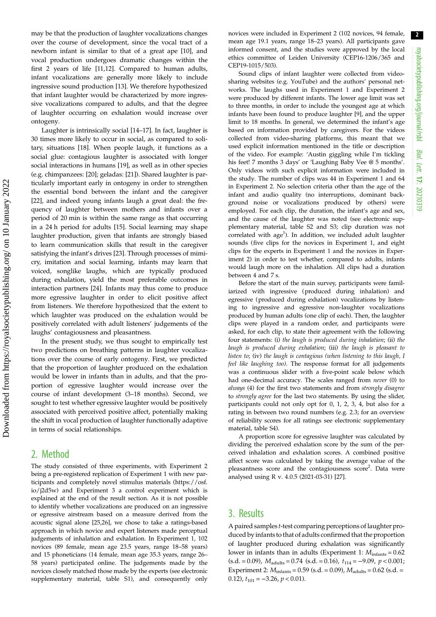2

may be that the production of laughter vocalizations changes over the course of development, since the vocal tract of a newborn infant is similar to that of a great ape [[10\]](#page-4-0), and vocal production undergoes dramatic changes within the first 2 years of life [[11](#page-5-0),[12\]](#page-5-0). Compared to human adults, infant vocalizations are generally more likely to include ingressive sound production [[13\]](#page-5-0). We therefore hypothesized that infant laughter would be characterized by more ingressive vocalizations compared to adults, and that the degree of laughter occurring on exhalation would increase over ontogeny.

Laughter is intrinsically social [\[14](#page-5-0)–[17\]](#page-5-0). In fact, laughter is 30 times more likely to occur in social, as compared to solitary, situations [\[18](#page-5-0)]. When people laugh, it functions as a social glue: contagious laughter is associated with longer social interactions in humans [[19\]](#page-5-0), as well as in other species (e.g. chimpanzees: [\[20](#page-5-0)]; geladas: [\[21](#page-5-0)]). Shared laughter is particularly important early in ontogeny in order to strengthen the essential bond between the infant and the caregiver [\[22](#page-5-0)], and indeed young infants laugh a great deal: the frequency of laughter between mothers and infants over a period of 20 min is within the same range as that occurring in a 24 h period for adults [\[15](#page-5-0)]. Social learning may shape laughter production, given that infants are strongly biased to learn communication skills that result in the caregiver satisfying the infant's drives [[23\]](#page-5-0). Through processes of mimicry, imitation and social learning, infants may learn that voiced, songlike laughs, which are typically produced during exhalation, yield the most preferable outcomes in interaction partners [[24\]](#page-5-0). Infants may thus come to produce more egressive laughter in order to elicit positive affect from listeners. We therefore hypothesized that the extent to which laughter was produced on the exhalation would be positively correlated with adult listeners' judgements of the laughs' contagiousness and pleasantness.

In the present study, we thus sought to empirically test two predictions on breathing patterns in laughter vocalizations over the course of early ontogeny. First, we predicted that the proportion of laughter produced on the exhalation would be lower in infants than in adults, and that the proportion of egressive laughter would increase over the course of infant development (3–18 months). Second, we sought to test whether egressive laughter would be positively associated with perceived positive affect, potentially making the shift in vocal production of laughter functionally adaptive in terms of social relationships.

## 2. Method

The study consisted of three experiments, with Experiment 2 being a pre-registered replication of Experiment 1 with new participants and completely novel stimulus materials [\(https://osf.](https://osf.io/j2d5w) [io/j2d5w](https://osf.io/j2d5w)) and Experiment 3 a control experiment which is explained at the end of the result section. As it is not possible to identify whether vocalizations are produced on an ingressive or egressive airstream based on a measure derived from the acoustic signal alone [\[25,26\]](#page-5-0), we chose to take a ratings-based approach in which novice and expert listeners made perceptual judgements of inhalation and exhalation. In Experiment 1, 102 novices (89 female, mean age 23.5 years, range 18–58 years) and 15 phoneticians (14 female, mean age 35.3 years, range 26– 58 years) participated online. The judgements made by the novices closely matched those made by the experts (see electronic supplementary material, table S1), and consequently only novices were included in Experiment 2 (102 novices, 94 female, mean age 19.1 years, range 18–23 years). All participants gave informed consent, and the studies were approved by the local ethics committee of Leiden University (CEP16-1206/365 and CEP19-1015/503).

Sound clips of infant laughter were collected from videosharing websites (e.g. YouTube) and the authors' personal networks. The laughs used in Experiment 1 and Experiment 2 were produced by different infants. The lower age limit was set to three months, in order to include the youngest age at which infants have been found to produce laughter [[9](#page-4-0)], and the upper limit to 18 months. In general, we determined the infant's age based on information provided by caregivers. For the videos collected from video-sharing platforms, this meant that we used explicit information mentioned in the title or description of the video. For example: 'Austin giggling while I'm tickling his feet! 7 months 3 days' or 'Laughing Baby Vee @ 5 months'. Only videos with such explicit information were included in the study. The number of clips was 44 in Experiment 1 and 64 in Experiment 2. No selection criteria other than the age of the infant and audio quality (no interruptions, dominant background noise or vocalizations produced by others) were employed. For each clip, the duration, the infant's age and sex, and the cause of the laughter was noted (see electronic supplementary material, table S2 and S3; clip duration was not correlated with age<sup>1</sup>). In addition, we included adult laughter sounds (five clips for the novices in Experiment 1, and eight clips for the experts in Experiment 1 and the novices in Experiment 2) in order to test whether, compared to adults, infants would laugh more on the inhalation. All clips had a duration between 4 and 7 s.

Before the start of the main survey, participants were familiarized with ingressive (produced during inhalation) and egressive (produced during exhalation) vocalizations by listening to ingressive and egressive non-laughter vocalizations produced by human adults (one clip of each). Then, the laughter clips were played in a random order, and participants were asked, for each clip, to state their agreement with the following four statements: (i) the laugh is produced during inhalation; (ii) the laugh is produced during exhalation; (iii) the laugh is pleasant to listen to; (iv) the laugh is contagious (when listening to this laugh, I feel like laughing too). The response format for all judgements was a continuous slider with a five-point scale below which had one-decimal accuracy. The scales ranged from never (0) to always (4) for the first two statements and from strongly disagree to strongly agree for the last two statements. By using the slider, participants could not only opt for 0, 1, 2, 3, 4, but also for a rating in between two round numbers (e.g. 2.3; for an overview of reliability scores for all ratings see electronic supplementary material, table S4).

A proportion score for egressive laughter was calculated by dividing the perceived exhalation score by the sum of the perceived inhalation and exhalation scores. A combined positive affect score was calculated by taking the average value of the pleasantness score and the contagiousness score<sup>2</sup>. Data were analysed using R v. 4.0.5 (2021-03-31) [[27](#page-5-0)].

### 3. Results

A paired samples t-test comparing perceptions of laughter produced by infants to that of adults confirmed that the proportion of laughter produced during exhalation was significantly lower in infants than in adults (Experiment 1:  $M<sub>infants</sub> = 0.62$  $(s.d. = 0.09)$ ,  $M_{adults} = 0.74$   $(s.d. = 0.16)$ ,  $t_{114} = -9.09$ ,  $p < 0.001$ ; Experiment 2:  $M_{\text{infants}} = 0.59$  (s.d. = 0.09),  $M_{\text{adults}} = 0.62$  (s.d. = 0.12),  $t_{101} = -3.26$ ,  $p < 0.01$ ).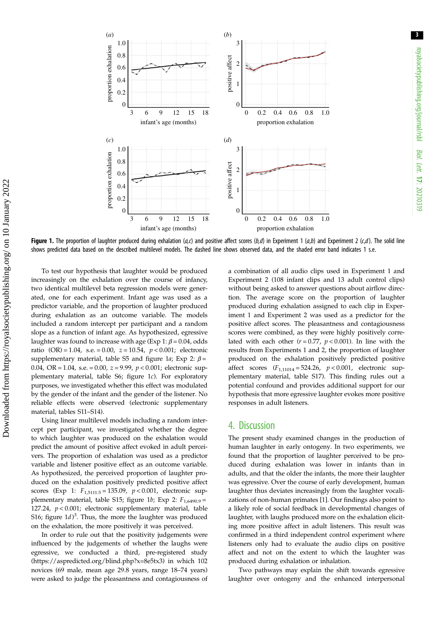3



Figure 1. The proportion of laughter produced during exhalation (a,c) and positive affect scores (b,d) in Experiment 1 (a,b) and Experiment 2 (c,d). The solid line shows predicted data based on the described multilevel models. The dashed line shows observed data, and the shaded error band indicates 1 s.e.

To test our hypothesis that laughter would be produced increasingly on the exhalation over the course of infancy, two identical multilevel beta regression models were generated, one for each experiment. Infant age was used as a predictor variable, and the proportion of laughter produced during exhalation as an outcome variable. The models included a random intercept per participant and a random slope as a function of infant age. As hypothesized, egressive laughter was found to increase with age (Exp 1:  $\beta$  = 0.04, odds ratio  $(OR) = 1.04$ , s.e. = 0.00,  $z = 10.54$ ,  $p < 0.001$ ; electronic supplementary material, table S5 and figure 1a; Exp 2:  $\beta$  = 0.04, OR = 1.04, s.e. = 0.00,  $z = 9.99$ ,  $p < 0.001$ ; electronic supplementary material, table S6; figure 1c). For exploratory purposes, we investigated whether this effect was modulated by the gender of the infant and the gender of the listener. No reliable effects were observed (electronic supplementary material, tables S11–S14).

Using linear multilevel models including a random intercept per participant, we investigated whether the degree to which laughter was produced on the exhalation would predict the amount of positive affect evoked in adult perceivers. The proportion of exhalation was used as a predictor variable and listener positive effect as an outcome variable. As hypothesized, the perceived proportion of laughter produced on the exhalation positively predicted positive affect scores (Exp 1:  $F_{1,5111,5} = 135.09$ ,  $p < 0.001$ , electronic supplementary material, table S15; figure 1b; Exp 2:  $F_{1,6490.9}$  = 127.24,  $p < 0.001$ ; electronic supplementary material, table S16; figure  $1d$ )<sup>3</sup>. Thus, the more the laughter was produced on the exhalation, the more positively it was perceived.

In order to rule out that the positivity judgements were influenced by the judgements of whether the laughs were egressive, we conducted a third, pre-registered study [\(https://aspredicted.org/blind.php?x=8e5tx3](https://aspredicted.org/blind.php?x=8e5tx3)) in which 102 novices (69 male, mean age 29.8 years, range 18–74 years) were asked to judge the pleasantness and contagiousness of a combination of all audio clips used in Experiment 1 and Experiment 2 (108 infant clips and 13 adult control clips) without being asked to answer questions about airflow direction. The average score on the proportion of laughter produced during exhalation assigned to each clip in Experiment 1 and Experiment 2 was used as a predictor for the positive affect scores. The pleasantness and contagiousness scores were combined, as they were highly positively correlated with each other  $(r = 0.77, p < 0.001)$ . In line with the results from Experiments 1 and 2, the proportion of laughter produced on the exhalation positively predicted positive affect scores  $(F_{1,11014} = 524.26, p < 0.001,$  electronic supplementary material, table S17). This finding rules out a potential confound and provides additional support for our hypothesis that more egressive laughter evokes more positive responses in adult listeners.

### 4. Discussion

The present study examined changes in the production of human laughter in early ontogeny. In two experiments, we found that the proportion of laughter perceived to be produced during exhalation was lower in infants than in adults, and that the older the infants, the more their laughter was egressive. Over the course of early development, human laughter thus deviates increasingly from the laughter vocalizations of non-human primates [[1](#page-4-0)]. Our findings also point to a likely role of social feedback in developmental changes of laughter, with laughs produced more on the exhalation eliciting more positive affect in adult listeners. This result was confirmed in a third independent control experiment where listeners only had to evaluate the audio clips on positive affect and not on the extent to which the laughter was produced during exhalation or inhalation.

Two pathways may explain the shift towards egressive laughter over ontogeny and the enhanced interpersonal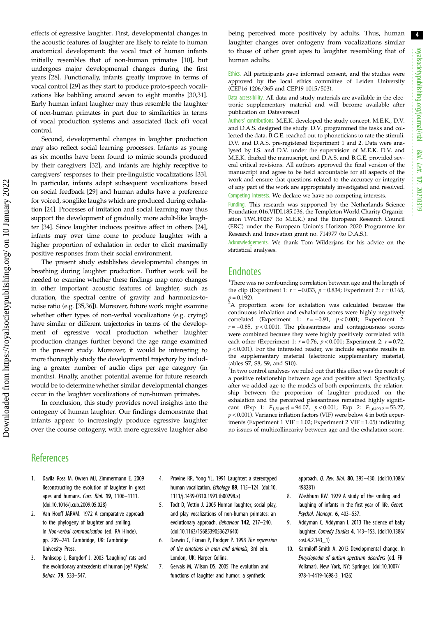<span id="page-4-0"></span>effects of egressive laughter. First, developmental changes in the acoustic features of laughter are likely to relate to human anatomical development: the vocal tract of human infants initially resembles that of non-human primates [10], but undergoes major developmental changes during the first years [[28\]](#page-5-0). Functionally, infants greatly improve in terms of vocal control [[29\]](#page-5-0) as they start to produce proto-speech vocalizations like babbling around seven to eight months [[30](#page-5-0),[31](#page-5-0)]. Early human infant laughter may thus resemble the laughter of non-human primates in part due to similarities in terms of vocal production systems and associated (lack of) vocal control.

Second, developmental changes in laughter production may also reflect social learning processes. Infants as young as six months have been found to mimic sounds produced by their caregivers [\[32](#page-5-0)], and infants are highly receptive to caregivers' responses to their pre-linguistic vocalizations [[33](#page-5-0)]. In particular, infants adapt subsequent vocalizations based on social feedback [[29\]](#page-5-0) and human adults have a preference for voiced, songlike laughs which are produced during exhalation [[24](#page-5-0)]. Processes of imitation and social learning may thus support the development of gradually more adult-like laughter [\[34](#page-5-0)]. Since laughter induces positive affect in others [[24](#page-5-0)], infants may over time come to produce laughter with a higher proportion of exhalation in order to elicit maximally positive responses from their social environment.

The present study establishes developmental changes in breathing during laughter production. Further work will be needed to examine whether these findings map onto changes in other important acoustic features of laughter, such as duration, the spectral centre of gravity and harmonics-tonoise ratio (e.g. [\[35,36\]](#page-5-0)). Moreover, future work might examine whether other types of non-verbal vocalizations (e.g. crying) have similar or different trajectories in terms of the development of egressive vocal production whether laughter production changes further beyond the age range examined in the present study. Moreover, it would be interesting to more thoroughly study the developmental trajectory by including a greater number of audio clips per age category (in months). Finally, another potential avenue for future research would be to determine whether similar developmental changes occur in the laughter vocalizations of non-human primates.

In conclusion, this study provides novel insights into the ontogeny of human laughter. Our findings demonstrate that infants appear to increasingly produce egressive laughter over the course ontogeny, with more egressive laughter also being perceived more positively by adults. Thus, human laughter changes over ontogeny from vocalizations similar to those of other great apes to laughter resembling that of human adults.

Ethics. All participants gave informed consent, and the studies were approved by the local ethics committee of Leiden University (CEP16-1206/365 and CEP19-1015/503).

Data accessibility. All data and study materials are available in the electronic supplementary material and will become available after publication on Dataverse.nl

Authors' contributions. M.E.K. developed the study concept. M.E.K., D.V. and D.A.S. designed the study. D.V. programmed the tasks and collected the data. B.G.E. reached out to phoneticians to rate the stimuli. D.V. and D.A.S. pre-registered Experiment 1 and 2. Data were analysed by I.S. and D.V. under the supervision of M.E.K. D.V. and M.E.K. drafted the manuscript, and D.A.S. and B.G.E. provided several critical revisions. All authors approved the final version of the manuscript and agree to be held accountable for all aspects of the work and ensure that questions related to the accuracy or integrity of any part of the work are appropriately investigated and resolved. Competing interests. We declare we have no competing interests.

Funding. This research was supported by the Netherlands Science Foundation 016.VIDI.185.036, the Templeton World Charity Organization TWCF0267 (to M.E.K.) and the European Research Council (ERC) under the European Union's Horizon 2020 Programme for Research and Innovation grant no. 714977 (to D.A.S.).

Acknowledgements. We thank Tom Wilderjans for his advice on the statistical analyses.

## **Endnotes**

<sup>1</sup>There was no confounding correlation between age and the length of the clip (Experiment 1:  $r = -0.033$ ,  $p = 0.834$ ; Experiment 2:  $r = 0.165$ ,

 $p$  = 0.192).<br><sup>2</sup>A proportion score for exhalation was calculated because the continuous inhalation and exhalation scores were highly negatively correlated (Experiment 1:  $r = -0.91$ ,  $p < 0.001$ ; Experiment 2:  $r = -0.85$ ,  $p < 0.001$ ). The pleasantness and contagiousness scores were combined because they were highly positively correlated with each other (Experiment 1:  $r = 0.76$ ,  $p < 0.001$ ; Experiment 2:  $r = 0.72$ ,  $p < 0.001$ ). For the interested reader, we include separate results in the supplementary material (electronic supplementary material, tables S7, S8, S9, and S10).

<sup>3</sup>In two control analyses we ruled out that this effect was the result of a positive relationship between age and positive affect. Specifically, after we added age to the models of both experiments, the relationship between the proportion of laughter produced on the exhalation and the perceived pleasantness remained highly significant (Exp 1:  $F_{1,5109.7}$ ) = 94.07,  $p < 0.001$ ; Exp 2:  $F_{1,6490.2}$  = 53.27,  $p < 0.001$ ). Variance inflation factors (VIF) were below 4 in both experiments (Experiment 1 VIF = 1.02; Experiment 2 VIF = 1.05) indicating no issues of multicollinearity between age and the exhalation score.

## **References**

- 1. Davila Ross M, Owren MJ, Zimmermann E. 2009 Reconstructing the evolution of laughter in great apes and humans. Curr. Biol. 19, 1106-1111. [\(doi:10.1016/j.cub.2009.05.028](http://dx.doi.org/10.1016/j.cub.2009.05.028))
- Van Hooff JARAM. 1972 A comparative approach to the phylogeny of laughter and smiling. In Non-verbal communication (ed. RA Hinde), pp. 209–241. Cambridge, UK: Cambridge University Press.
- 3. Panksepp J, Burgdorf J. 2003 'Laughing' rats and the evolutionary antecedents of human joy? Physiol. Behav. 79, 533–547.
- 4. Provine RR, Yong YL. 1991 Laughter: a stereotyped human vocalization. Ethology 89, 115-124. [\(doi:10.](http://dx.doi.org/10.1111/j.1439-0310.1991.tb00298.x) [1111/j.1439-0310.1991.tb00298.x\)](http://dx.doi.org/10.1111/j.1439-0310.1991.tb00298.x)
- 5. Todt D, Vettin J. 2005 Human laughter, social play, and play vocalizations of non-human primates: an evolutionary approach. Behaviour 142, 217–240. [\(doi:10.1163/1568539053627640\)](http://dx.doi.org/10.1163/1568539053627640)
- 6. Darwin C, Ekman P, Prodger P. 1998 The expression of the emotions in man and animals, 3rd edn. London, UK: Harper Collins.
- 7. Gervais M, Wilson DS. 2005 The evolution and functions of laughter and humor: a synthetic

approach. Q. Rev. Biol. 80, 395–430. [\(doi:10.1086/](http://dx.doi.org/10.1086/498281) [498281\)](http://dx.doi.org/10.1086/498281)

- 8. Washburn RW. 1929 A study of the smiling and laughing of infants in the first year of life. Genet. Psychol. Monogr. 6, 403–537.
- 9. Addyman C, Addyman I. 2013 The science of baby laughter. Comedy Studies 4, 143–153. [\(doi:10.1386/](http://dx.doi.org/10.1386/cost.4.2.143_1) [cost.4.2.143\\_1](http://dx.doi.org/10.1386/cost.4.2.143_1))
- 10. Karmiloff-Smith A. 2013 Developmental change. In Encyclopedia of autism spectrum disorders (ed. FR Volkmar). New York, NY: Springer. [\(doi:10.1007/](http://dx.doi.org/10.1007/978-1-4419-1698-3_1426) [978-1-4419-1698-3\\_1426](http://dx.doi.org/10.1007/978-1-4419-1698-3_1426))